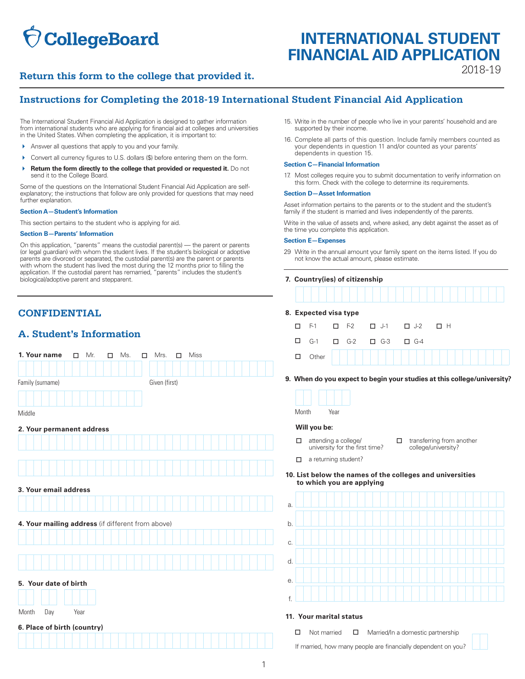# **CollegeBoard**

# **INTERNATIONAL STUDENT FINANCIAL AID APPLICATION**  2018-19

# **Return this form to the college that provided it.**

# **Instructions for Completing the 2018-19 International Student Financial Aid Application**

The International Student Financial Aid Application is designed to gather information from international students who are applying for financial aid at colleges and universities in the United States. When completing the application, it is important to:

- Answer all questions that apply to you and your family.
- Convert all currency figures to U.S. dollars (\$) before entering them on the form.
- **A** Return the form directly to the college that provided or requested it. Do not send it to the College Board.

 further explanation. Some of the questions on the International Student Financial Aid Application are selfexplanatory; the instructions that follow are only provided for questions that may need

#### **Section A—Student's Information**

This section pertains to the student who is applying for aid.

#### **Section B—Parents' Information**

On this application, "parents" means the custodial parent(s) — the parent or parents (or legal guardian) with whom the student lives. If the student's biological or adoptive parents are divorced or separated, the custodial parent(s) are the parent or parents with whom the student has lived the most during the 12 months prior to filling the application. If the custodial parent has remarried, "parents" includes the student's biological/adoptive parent and stepparent.

# **CONFIDENTIAL 8. Expected visa type**

## **A. Student's Information**

| 1. Your name<br>Mr.<br>$\Box$<br>□                | Miss<br>Ms.<br>Mrs.<br>$\Box$<br>$\Box$ | Other<br>$\Box$                                                                                                |
|---------------------------------------------------|-----------------------------------------|----------------------------------------------------------------------------------------------------------------|
| Family (surname)                                  | Given (first)                           | 9. When do you expect to begin your studies at this col                                                        |
|                                                   |                                         |                                                                                                                |
| Middle                                            |                                         | Month<br>Year                                                                                                  |
| 2. Your permanent address                         |                                         | Will you be:                                                                                                   |
|                                                   |                                         | attending a college/<br>transferring from a<br>□<br>□<br>university for the first time?<br>college/university? |
|                                                   |                                         | a returning student?<br>□                                                                                      |
|                                                   |                                         | 10. List below the names of the colleges and univers<br>to which you are applying                              |
| 3. Your email address                             |                                         |                                                                                                                |
|                                                   |                                         | a.                                                                                                             |
| 4. Your mailing address (if different from above) |                                         | b.                                                                                                             |
|                                                   |                                         | C.                                                                                                             |
|                                                   |                                         | d.                                                                                                             |
|                                                   |                                         |                                                                                                                |
| 5. Your date of birth                             |                                         | е.                                                                                                             |
|                                                   |                                         | f.                                                                                                             |
| Month<br>Day<br>Year                              |                                         | 11. Your marital status                                                                                        |
| 6. Place of birth (country)                       |                                         | □<br>Not married                                                                                               |
|                                                   |                                         | Married/In a domestic partnership<br>□<br>If married, how many people are financially dependent on yo          |

- 15. Write in the number of people who live in your parents' household and are supported by their income.
- 16. Complete all parts of this question. Include family members counted as your dependents in question 11 and/or counted as your parents' dependents in question 15.

#### **Section C—Financial Information**

 17. Most colleges require you to submit documentation to verify information on this form. Check with the college to determine its requirements.

#### **Section D—Asset Information**

Asset information pertains to the parents or to the student and the student's family if the student is married and lives independently of the parents.

Write in the value of assets and, where asked, any debt against the asset as of the time you complete this application.

#### **Section E—Expenses**

 29 Write in the annual amount your family spent on the items listed. If you do not know the actual amount, please estimate.

| 7. Country(ies) of citizenship |   |                       |  |            |                       |            |    |  |
|--------------------------------|---|-----------------------|--|------------|-----------------------|------------|----|--|
|                                |   |                       |  |            |                       |            |    |  |
|                                |   | 8. Expected visa type |  |            |                       |            |    |  |
|                                |   | $F-1$                 |  | $\Box$ F-2 | $\Box$ J-1 $\Box$ J-2 |            | пн |  |
|                                |   | $G-1$                 |  | $\Box$ G-2 | $\Pi$ G-3             | $G-4$<br>п |    |  |
|                                | ◻ | Other                 |  |            |                       |            |    |  |

**9. When do you expect to begin your studies at this college/university?** 

- $\Box$  attending a college/  $\Box$  transferring from another university for the first time?  $\Box$  transferring from another university for the first time?
- $\Box$  a returning student?

# **10. List below the names of the colleges and universities**



#### Month Day Year **11. Your marital status**

| $\Box$ | Not married | $\Box$ | Married/In a domestic partnership                             |
|--------|-------------|--------|---------------------------------------------------------------|
|        |             |        | If married, how many people are financially dependent on you? |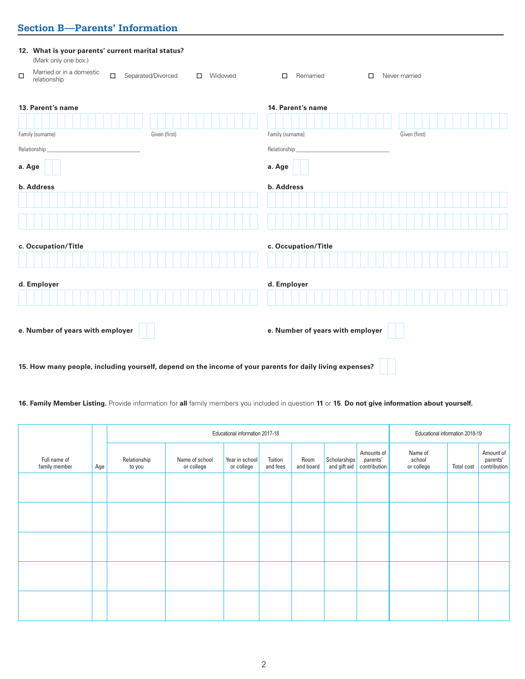|        | (Mark only one box.)                                                                          |                                  |               |
|--------|-----------------------------------------------------------------------------------------------|----------------------------------|---------------|
| $\Box$ | Married or in a domestic<br>$\Box$<br>Separated/Divorced<br>Widowed<br>$\Box$<br>relationship | Remarried<br>$\Box$<br>$\Box$    | Never married |
|        | 13. Parent's name                                                                             | 14. Parent's name                |               |
|        | Given (first)<br>Family (surname)                                                             | Family (surname)                 | Given (first) |
|        | Relationship                                                                                  | Relationship_                    |               |
| a. Age |                                                                                               | a. Age                           |               |
|        | b. Address                                                                                    | b. Address                       |               |
|        |                                                                                               |                                  |               |
|        |                                                                                               |                                  |               |
|        | c. Occupation/Title                                                                           | c. Occupation/Title              |               |
|        |                                                                                               |                                  |               |
|        | d. Employer                                                                                   | d. Employer                      |               |
|        |                                                                                               |                                  |               |
|        | e. Number of years with employer                                                              | e. Number of years with employer |               |
|        |                                                                                               |                                  |               |

**Section B—Parents' Information** 

**12. What is your parents' current marital status?**

**15. How many people, including yourself, depend on the income of your parents for daily living expenses?**

**16. Family Member Listing.** Provide information for **all** family members you included in question **11** or **15**. **Do not give information about yourself.**

Н

|                               |     |                        | Educational information 2017-18 |                              |                     |                   |                              | Educational information 2018-19        |                                 |                   |                                       |
|-------------------------------|-----|------------------------|---------------------------------|------------------------------|---------------------|-------------------|------------------------------|----------------------------------------|---------------------------------|-------------------|---------------------------------------|
| Full name of<br>family member | Age | Relationship<br>to you | Name of school<br>or college    | Year in school<br>or college | Tuition<br>and fees | Room<br>and board | Scholarships<br>and gift aid | Amounts of<br>parents'<br>contribution | Name of<br>school<br>or college | <b>Total cost</b> | Amount of<br>parents'<br>contribution |
|                               |     |                        |                                 |                              |                     |                   |                              |                                        |                                 |                   |                                       |
|                               |     |                        |                                 |                              |                     |                   |                              |                                        |                                 |                   |                                       |
|                               |     |                        |                                 |                              |                     |                   |                              |                                        |                                 |                   |                                       |
|                               |     |                        |                                 |                              |                     |                   |                              |                                        |                                 |                   |                                       |
|                               |     |                        |                                 |                              |                     |                   |                              |                                        |                                 |                   |                                       |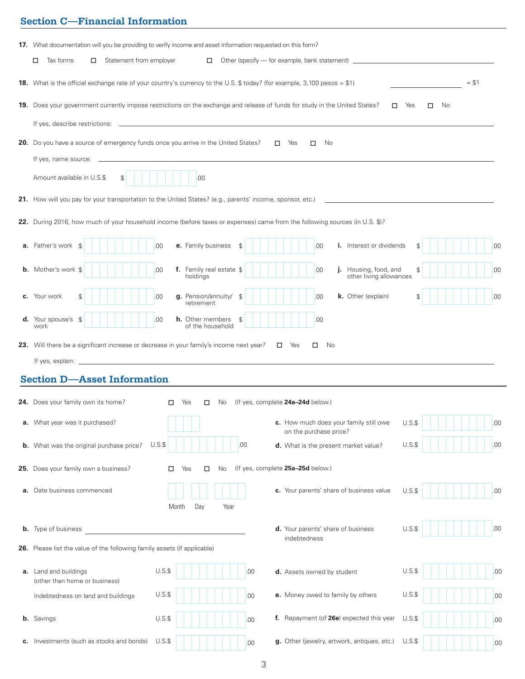# **Section C—Financial Information**

| 17. What documentation will you be providing to verify income and asset information requested on this form?                                          |     |
|------------------------------------------------------------------------------------------------------------------------------------------------------|-----|
| Statement from employer<br>Tax forms<br>Other (specify — for example, bank statement) __________________________________<br>□<br>□                   |     |
| 18. What is the official exchange rate of your country's currency to the U.S. \$ today? (for example, 3,100 pesos = \$1)<br>$= $1$                   |     |
| 19. Does your government currently impose restrictions on the exchange and release of funds for study in the United States?<br>$\Box$ Yes<br>No<br>□ |     |
|                                                                                                                                                      |     |
| 20. Do you have a source of emergency funds once you arrive in the United States?<br>Yes<br>No<br>□<br>п.                                            |     |
| If yes, name source: $\Box$                                                                                                                          |     |
| Amount available in U.S.\$<br>\$<br>.00                                                                                                              |     |
| 21. How will you pay for your transportation to the United States? (e.g., parents' income, sponsor, etc.)                                            |     |
| 22. During 2016, how much of your household income (before taxes or expenses) came from the following sources (in U.S. \$)?                          |     |
|                                                                                                                                                      |     |
| e. Family business<br><b>a.</b> Father's work \$<br>.00<br><b>i.</b> Interest or dividends<br>.00<br>\$<br>S                                         | .00 |
| f. Family real estate \$<br><b>b.</b> Mother's work \$<br>j. Housing, food, and<br>.00<br>.00<br>holdings<br>other living allowances                 | .00 |
| c. Your work<br>g. Pension/annuity/<br>.00<br><b>k.</b> Other (explain)<br>\$<br>00<br>\$<br>\$<br>retirement                                        | .00 |
| <b>d.</b> Your spouse's<br><b>h.</b> Other members<br>.00<br>.00<br>\$<br>\$<br>work<br>of the household                                             |     |
| 23. Will there be a significant increase or decrease in your family's income next year?<br>$\Box$ Yes<br>No<br>◻                                     |     |
|                                                                                                                                                      |     |
| <b>Section D-Asset Information</b>                                                                                                                   |     |
| <b>24.</b> Does your family own its home?<br>(If yes, complete 24a-24d below.)<br>Yes<br>No.<br>□<br>□                                               |     |
| c. How much does your family still owe U.S.\$<br>a. What year was it purchased?<br>on the purchase price?                                            | .00 |
| $U.S.\$<br>$U.S.\$<br>.00<br><b>b.</b> What was the original purchase price?<br>d. What is the present market value?                                 | .00 |
| 25. Does your family own a business?<br>(If yes, complete 25a-25d below.)<br>No<br>п<br>Yes<br>◻                                                     |     |
|                                                                                                                                                      |     |
| c. Your parents' share of business value<br><b>a.</b> Date business commenced<br>$U.S.\$<br>Year<br>Month<br>Day                                     | .00 |
|                                                                                                                                                      |     |
| d. Your parents' share of business<br>U.S.S<br><b>b.</b> Type of business<br>indebtedness                                                            | .00 |
| 26. Please list the value of the following family assets (if applicable)                                                                             |     |
| $U.S.\$<br>$U.S.\$<br>a. Land and buildings<br>.00<br>d. Assets owned by student<br>(other than home or business)                                    | .00 |
| $U.S.\$<br>$U.S.\$<br>e. Money owed to family by others<br>00<br>Indebtedness on land and buildings                                                  | .00 |
| f. Repayment (of 26e) expected this year<br>$U.S.\$<br><b>b.</b> Savings<br>U.S.S<br>.00                                                             | .00 |
| c. Investments (such as stocks and bonds)<br>$U.S.\$<br>g. Other (jewelry, artwork, antiques, etc.)<br>$U.S.\$<br>.00                                | .00 |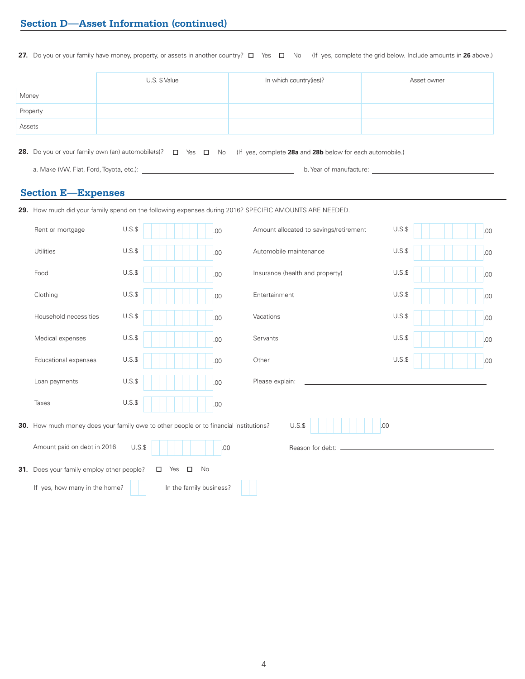**27.** Do you or your family have money, property, or assets in another country? □ Yes □ No (If yes, complete the grid below. Include amounts in **26** above.)

|          | U.S. \$ Value | In which country(ies)? | Asset owner |
|----------|---------------|------------------------|-------------|
| Money    |               |                        |             |
| Property |               |                        |             |
| Assets   |               |                        |             |

**28.** Do you or your family own (an) automobile(s)?  $\Box$  Yes  $\Box$  No (If yes, complete **28a** and **28b** below for each automobile.)

a. Make (VW, Fiat, Ford, Toyota, etc.): **b. Year of manufacture:** b. Year of manufacture: **b.** Year of manufacture:

## **Section E—Expenses**

| 29. How much did your family spend on the following expenses during 2016? SPECIFIC AMOUNTS ARE NEEDED. |  |
|--------------------------------------------------------------------------------------------------------|--|
|                                                                                                        |  |

| Rent or mortgage                                                                      | $U.S.\$ |                               | .00 | Amount allocated to savings/retirement | $U.S.\$ | .00 |
|---------------------------------------------------------------------------------------|---------|-------------------------------|-----|----------------------------------------|---------|-----|
| Utilities                                                                             | $U.S.\$ |                               | .00 | Automobile maintenance                 | $U.S.\$ | .00 |
| Food                                                                                  | $U.S.\$ |                               | .00 | Insurance (health and property)        | $U.S.\$ | .00 |
| Clothing                                                                              | $U.S.\$ |                               | .00 | Entertainment                          | $U.S.\$ | .00 |
| Household necessities                                                                 | $U.S.\$ |                               | .00 | Vacations                              | $U.S.\$ | .00 |
| Medical expenses                                                                      | $U.S.\$ |                               | .00 | Servants                               | $U.S.\$ | .00 |
| Educational expenses                                                                  | $U.S.\$ |                               | .00 | Other                                  | $U.S.\$ | .00 |
| Loan payments                                                                         | $U.S.\$ |                               | .00 | Please explain:                        |         |     |
| Taxes                                                                                 | $U.S.\$ |                               | .00 |                                        |         |     |
| 30. How much money does your family owe to other people or to financial institutions? |         |                               |     | $U.S.\$<br>.00                         |         |     |
| Amount paid on debt in 2016                                                           | $U.S.\$ |                               | .00 | Reason for debt:                       |         |     |
| 31. Does your family employ other people?                                             |         | Yes<br>No<br>$\Box$<br>$\Box$ |     |                                        |         |     |
| If yes, how many in the home?                                                         |         | In the family business?       |     |                                        |         |     |